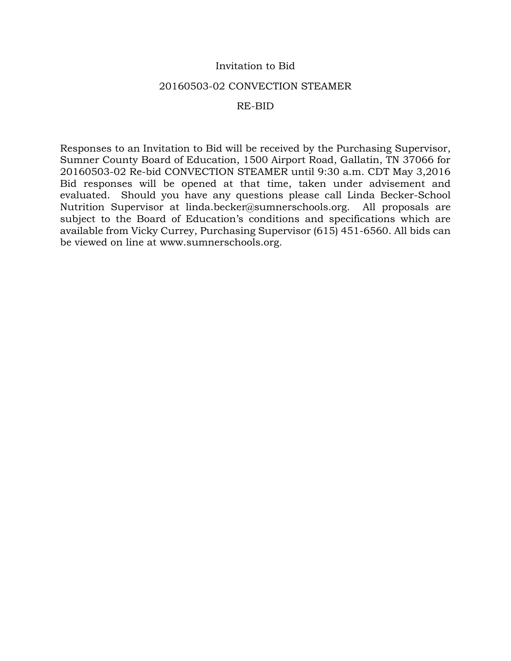## Invitation to Bid

#### 20160503-02 CONVECTION STEAMER

#### RE-BID

Responses to an Invitation to Bid will be received by the Purchasing Supervisor, Sumner County Board of Education, 1500 Airport Road, Gallatin, TN 37066 for 20160503-02 Re-bid CONVECTION STEAMER until 9:30 a.m. CDT May 3,2016 Bid responses will be opened at that time, taken under advisement and evaluated. Should you have any questions please call Linda Becker-School Nutrition Supervisor at linda.becker@sumnerschools.org. All proposals are subject to the Board of Education's conditions and specifications which are available from Vicky Currey, Purchasing Supervisor (615) 451-6560. All bids can be viewed on line at www.sumnerschools.org.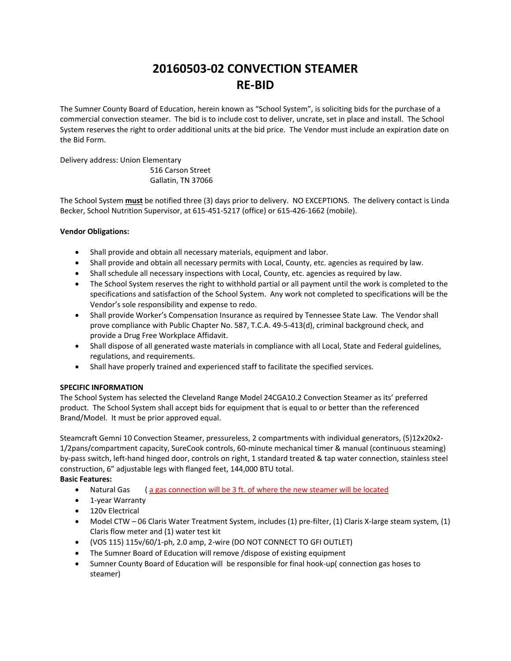# **20160503‐02 CONVECTION STEAMER RE‐BID**

The Sumner County Board of Education, herein known as "School System", is soliciting bids for the purchase of a commercial convection steamer. The bid is to include cost to deliver, uncrate, set in place and install. The School System reserves the right to order additional units at the bid price. The Vendor must include an expiration date on the Bid Form.

Delivery address: Union Elementary

 516 Carson Street Gallatin, TN 37066

The School System **must** be notified three (3) days prior to delivery. NO EXCEPTIONS. The delivery contact is Linda Becker, School Nutrition Supervisor, at 615‐451‐5217 (office) or 615‐426‐1662 (mobile).

#### **Vendor Obligations:**

- Shall provide and obtain all necessary materials, equipment and labor.
- Shall provide and obtain all necessary permits with Local, County, etc. agencies as required by law.
- Shall schedule all necessary inspections with Local, County, etc. agencies as required by law.
- The School System reserves the right to withhold partial or all payment until the work is completed to the specifications and satisfaction of the School System. Any work not completed to specifications will be the Vendor's sole responsibility and expense to redo.
- Shall provide Worker's Compensation Insurance as required by Tennessee State Law. The Vendor shall prove compliance with Public Chapter No. 587, T.C.A. 49-5-413(d), criminal background check, and provide a Drug Free Workplace Affidavit.
- Shall dispose of all generated waste materials in compliance with all Local, State and Federal guidelines, regulations, and requirements.
- Shall have properly trained and experienced staff to facilitate the specified services.

#### **SPECIFIC INFORMATION**

The School System has selected the Cleveland Range Model 24CGA10.2 Convection Steamer as its' preferred product. The School System shall accept bids for equipment that is equal to or better than the referenced Brand/Model. It must be prior approved equal.

Steamcraft Gemni 10 Convection Steamer, pressureless, 2 compartments with individual generators, (5)12x20x2‐ 1/2pans/compartment capacity, SureCook controls, 60‐minute mechanical timer & manual (continuous steaming) by-pass switch, left-hand hinged door, controls on right, 1 standard treated & tap water connection, stainless steel construction, 6" adjustable legs with flanged feet, 144,000 BTU total.

#### **Basic Features:**

- Natural Gas (a gas connection will be 3 ft. of where the new steamer will be located
- 1-year Warranty
- **120v Electrical**
- Model CTW 06 Claris Water Treatment System, includes (1) pre‐filter, (1) Claris X‐large steam system, (1) Claris flow meter and (1) water test kit
- (VOS 115) 115v/60/1‐ph, 2.0 amp, 2‐wire (DO NOT CONNECT TO GFI OUTLET)
- The Sumner Board of Education will remove /dispose of existing equipment
- Sumner County Board of Education will be responsible for final hook‐up( connection gas hoses to steamer)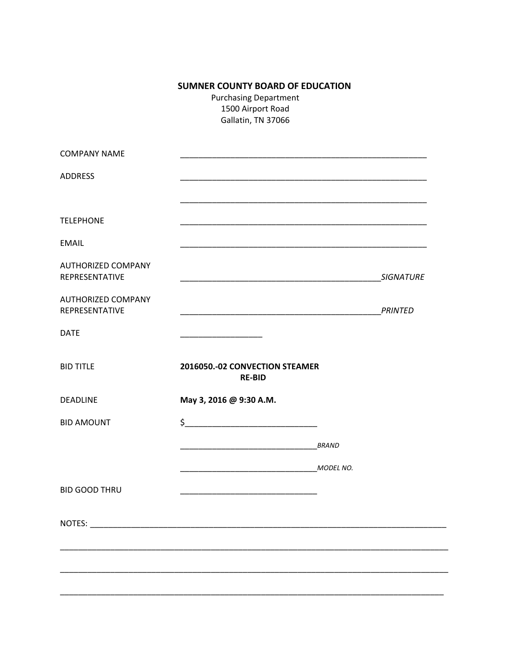# **SUMNER COUNTY BOARD OF EDUCATION**

**Purchasing Department** 1500 Airport Road Gallatin, TN 37066

| <b>COMPANY NAME</b>                         |                                                                                                                                                                                                                               |              |                  |
|---------------------------------------------|-------------------------------------------------------------------------------------------------------------------------------------------------------------------------------------------------------------------------------|--------------|------------------|
| <b>ADDRESS</b>                              |                                                                                                                                                                                                                               |              |                  |
| <b>TELEPHONE</b>                            | <u> 1989 - Johann Stoff, amerikansk politiker (d. 1989)</u>                                                                                                                                                                   |              |                  |
| <b>EMAIL</b>                                |                                                                                                                                                                                                                               |              |                  |
| <b>AUTHORIZED COMPANY</b><br>REPRESENTATIVE |                                                                                                                                                                                                                               |              | <b>SIGNATURE</b> |
| <b>AUTHORIZED COMPANY</b><br>REPRESENTATIVE | the control of the control of the control of the control of the control of the control of the control of the control of the control of the control of the control of the control of the control of the control of the control |              | <b>PRINTED</b>   |
| <b>DATE</b>                                 |                                                                                                                                                                                                                               |              |                  |
| <b>BID TITLE</b>                            | 2016050 .- 02 CONVECTION STEAMER<br><b>RE-BID</b>                                                                                                                                                                             |              |                  |
| <b>DEADLINE</b>                             | May 3, 2016 @ 9:30 A.M.                                                                                                                                                                                                       |              |                  |
| <b>BID AMOUNT</b>                           | $\frac{1}{2}$                                                                                                                                                                                                                 |              |                  |
|                                             | <u> 1989 - Johann John Harry Harry Harry Harry Harry Harry Harry Harry Harry Harry Harry Harry Harry Harry Harry</u>                                                                                                          | <b>BRAND</b> |                  |
|                                             | <u>MODEL NO.</u>                                                                                                                                                                                                              |              |                  |
| <b>BID GOOD THRU</b>                        |                                                                                                                                                                                                                               |              |                  |
| NOTES:                                      |                                                                                                                                                                                                                               |              |                  |
|                                             |                                                                                                                                                                                                                               |              |                  |
|                                             |                                                                                                                                                                                                                               |              |                  |
|                                             |                                                                                                                                                                                                                               |              |                  |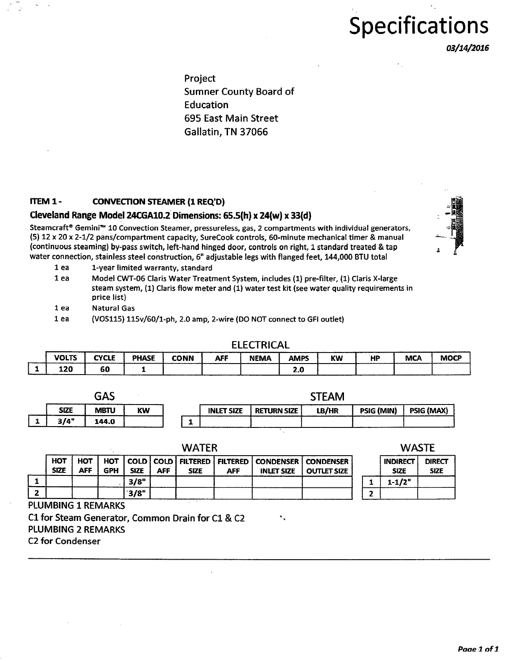# **Specifications**

*03/14/2016* 

Project Sumner County Board of Education 695 East Main Street Gallatin, TN 37066

## ITEM 1 - CONVECTION STEAMER (1 REQ'D)

#### Cleveland Range Model 24CGA10.2 Dimensions: 65.5(h) x 24(w) x 33(d)

Steamcraft® Gemini<sup>m</sup> 10 Convection Steamer, pressureless, gas, 2 compartments with individual generators, {5) 12 x 20 x 2-1/2 pans/compartment capacity, SureCook controls, 60-minute mechanical timer & manual (continuous steaming) by-pass switch, left-hand hinged door, controls on right, 1 standard treated & tap water connection, stainless steel construction, 6" adjustable legs with flanged feet, 144,000 BTU total

1 ea 1-year limited warranty, standard

- 1 ea Model CWT-06 Claris Water Treatment System, includes (1) pre-filter, (1) Claris X-large steam system, (1) Claris flow meter and (1) water test kit (see water quality requirements in price list)
- 1 ea Natural Gas
- 1 ea (VOS115) llSv/60/1-ph, 2.0 amp, 2-wire (DO NOT connect to GFI outlet)

#### ELECTRICAL

. .

| <b>VOLTS</b> | CYCLE<br>--- | <b>PHASE</b> | <b>CONN</b> | <b>AFF</b> | <b>NEMA</b> | AMPS | KW | <b>Lat</b><br>п. | <b>MCA</b> | <b>MOCP</b> |
|--------------|--------------|--------------|-------------|------------|-------------|------|----|------------------|------------|-------------|
| 120          | 60           |              |             |            |             | 2.L  |    |                  |            |             |

|             | r 1 r<br>GAS |    | STEAM |                   |                    |       |                   |            |  |
|-------------|--------------|----|-------|-------------------|--------------------|-------|-------------------|------------|--|
| <b>SIZE</b> | <b>MBTU</b>  | KW |       | <b>INLET SIZE</b> | <b>RETURN SIZE</b> | LB/HR | <b>PSIG (MIN)</b> | PSIG (MAX) |  |
| 3/4"        | 144.0        |    |       |                   |                    |       |                   |            |  |

WATER

| <b>HOT</b><br><b>SIZE</b> | <b>HOT</b><br>AFF | <b>GPH</b> | <b>SIZE</b> | AFF | <b>SIZE</b> | AFF | HOT   COLD   COLD   FILTERED   FILTERED   CONDENSER   CONDENSER | <b>INLET SIZE   OUTLET SIZE</b> |  |
|---------------------------|-------------------|------------|-------------|-----|-------------|-----|-----------------------------------------------------------------|---------------------------------|--|
|                           |                   |            | 3/8"        |     |             |     |                                                                 |                                 |  |
|                           |                   |            | 3/8"        |     |             |     |                                                                 |                                 |  |

PLUMBING 1 REMARKS

Cl for Steam Generator, Common Drain for Cl & C2 PLUMBING 2 REMARKS

C2 for Condenser

**WASTE** 

|   | <b>INDIRECT</b> | <b>DIRECT</b> |
|---|-----------------|---------------|
|   | <b>SIZE</b>     | <b>SIZE</b>   |
|   | $1 - 1/2"$      |               |
| , |                 |               |